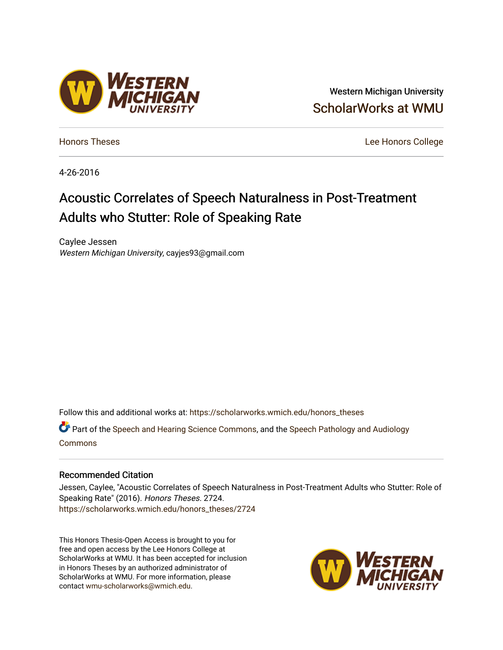# Western Michigan University [ScholarWorks at WMU](https://scholarworks.wmich.edu/)

[Honors Theses](https://scholarworks.wmich.edu/honors_theses) [Lee Honors College](https://scholarworks.wmich.edu/honors) 

4-26-2016

# Acoustic Correlates of Speech Naturalness in Post-Treatment Adults who Stutter: Role of Speaking Rate

Caylee Jessen Western Michigan University, cayjes93@gmail.com

Follow this and additional works at: [https://scholarworks.wmich.edu/honors\\_theses](https://scholarworks.wmich.edu/honors_theses?utm_source=scholarworks.wmich.edu%2Fhonors_theses%2F2724&utm_medium=PDF&utm_campaign=PDFCoverPages)

Part of the [Speech and Hearing Science Commons](http://network.bepress.com/hgg/discipline/1033?utm_source=scholarworks.wmich.edu%2Fhonors_theses%2F2724&utm_medium=PDF&utm_campaign=PDFCoverPages), and the [Speech Pathology and Audiology](http://network.bepress.com/hgg/discipline/1035?utm_source=scholarworks.wmich.edu%2Fhonors_theses%2F2724&utm_medium=PDF&utm_campaign=PDFCoverPages) [Commons](http://network.bepress.com/hgg/discipline/1035?utm_source=scholarworks.wmich.edu%2Fhonors_theses%2F2724&utm_medium=PDF&utm_campaign=PDFCoverPages)

## Recommended Citation

Jessen, Caylee, "Acoustic Correlates of Speech Naturalness in Post-Treatment Adults who Stutter: Role of Speaking Rate" (2016). Honors Theses. 2724. [https://scholarworks.wmich.edu/honors\\_theses/2724](https://scholarworks.wmich.edu/honors_theses/2724?utm_source=scholarworks.wmich.edu%2Fhonors_theses%2F2724&utm_medium=PDF&utm_campaign=PDFCoverPages) 

This Honors Thesis-Open Access is brought to you for free and open access by the Lee Honors College at ScholarWorks at WMU. It has been accepted for inclusion in Honors Theses by an authorized administrator of ScholarWorks at WMU. For more information, please contact [wmu-scholarworks@wmich.edu](mailto:wmu-scholarworks@wmich.edu).



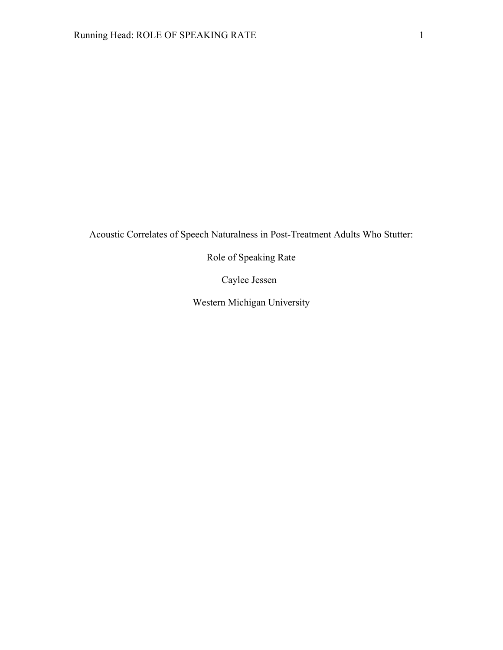Acoustic Correlates of Speech Naturalness in Post-Treatment Adults Who Stutter:

Role of Speaking Rate

Caylee Jessen

Western Michigan University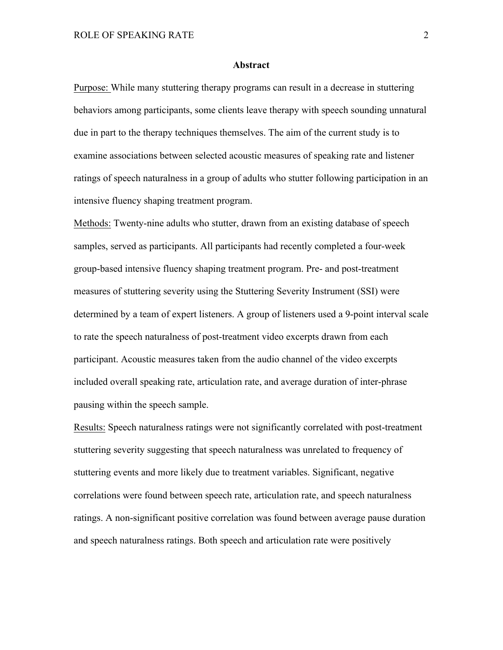#### **Abstract**

Purpose: While many stuttering therapy programs can result in a decrease in stuttering behaviors among participants, some clients leave therapy with speech sounding unnatural due in part to the therapy techniques themselves. The aim of the current study is to examine associations between selected acoustic measures of speaking rate and listener ratings of speech naturalness in a group of adults who stutter following participation in an intensive fluency shaping treatment program.

Methods: Twenty-nine adults who stutter, drawn from an existing database of speech samples, served as participants. All participants had recently completed a four-week group-based intensive fluency shaping treatment program. Pre- and post-treatment measures of stuttering severity using the Stuttering Severity Instrument (SSI) were determined by a team of expert listeners. A group of listeners used a 9-point interval scale to rate the speech naturalness of post-treatment video excerpts drawn from each participant. Acoustic measures taken from the audio channel of the video excerpts included overall speaking rate, articulation rate, and average duration of inter-phrase pausing within the speech sample.

Results: Speech naturalness ratings were not significantly correlated with post-treatment stuttering severity suggesting that speech naturalness was unrelated to frequency of stuttering events and more likely due to treatment variables. Significant, negative correlations were found between speech rate, articulation rate, and speech naturalness ratings. A non-significant positive correlation was found between average pause duration and speech naturalness ratings. Both speech and articulation rate were positively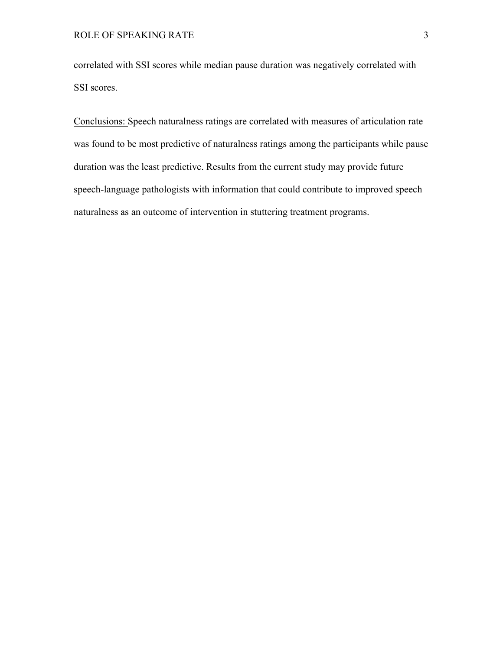correlated with SSI scores while median pause duration was negatively correlated with SSI scores.

Conclusions: Speech naturalness ratings are correlated with measures of articulation rate was found to be most predictive of naturalness ratings among the participants while pause duration was the least predictive. Results from the current study may provide future speech-language pathologists with information that could contribute to improved speech naturalness as an outcome of intervention in stuttering treatment programs.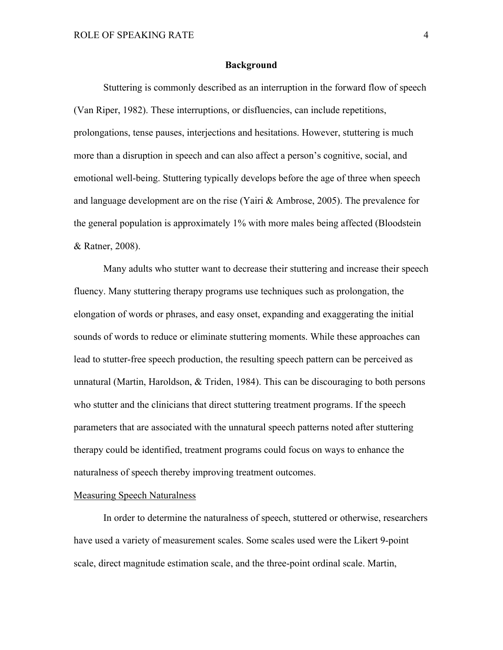#### **Background**

Stuttering is commonly described as an interruption in the forward flow of speech (Van Riper, 1982). These interruptions, or disfluencies, can include repetitions, prolongations, tense pauses, interjections and hesitations. However, stuttering is much more than a disruption in speech and can also affect a person's cognitive, social, and emotional well-being. Stuttering typically develops before the age of three when speech and language development are on the rise (Yairi & Ambrose, 2005). The prevalence for the general population is approximately 1% with more males being affected (Bloodstein & Ratner, 2008).

Many adults who stutter want to decrease their stuttering and increase their speech fluency. Many stuttering therapy programs use techniques such as prolongation, the elongation of words or phrases, and easy onset, expanding and exaggerating the initial sounds of words to reduce or eliminate stuttering moments. While these approaches can lead to stutter-free speech production, the resulting speech pattern can be perceived as unnatural (Martin, Haroldson, & Triden, 1984). This can be discouraging to both persons who stutter and the clinicians that direct stuttering treatment programs. If the speech parameters that are associated with the unnatural speech patterns noted after stuttering therapy could be identified, treatment programs could focus on ways to enhance the naturalness of speech thereby improving treatment outcomes.

## Measuring Speech Naturalness

In order to determine the naturalness of speech, stuttered or otherwise, researchers have used a variety of measurement scales. Some scales used were the Likert 9-point scale, direct magnitude estimation scale, and the three-point ordinal scale. Martin,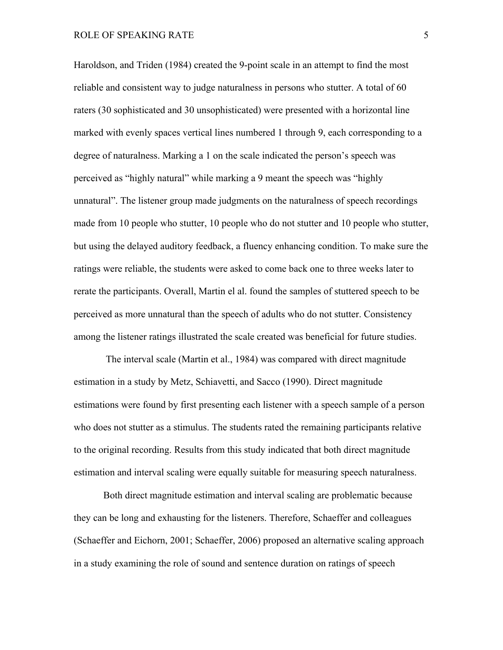## ROLE OF SPEAKING RATE 5

Haroldson, and Triden (1984) created the 9-point scale in an attempt to find the most reliable and consistent way to judge naturalness in persons who stutter. A total of 60 raters (30 sophisticated and 30 unsophisticated) were presented with a horizontal line marked with evenly spaces vertical lines numbered 1 through 9, each corresponding to a degree of naturalness. Marking a 1 on the scale indicated the person's speech was perceived as "highly natural" while marking a 9 meant the speech was "highly unnatural". The listener group made judgments on the naturalness of speech recordings made from 10 people who stutter, 10 people who do not stutter and 10 people who stutter, but using the delayed auditory feedback, a fluency enhancing condition. To make sure the ratings were reliable, the students were asked to come back one to three weeks later to rerate the participants. Overall, Martin el al. found the samples of stuttered speech to be perceived as more unnatural than the speech of adults who do not stutter. Consistency among the listener ratings illustrated the scale created was beneficial for future studies.

The interval scale (Martin et al., 1984) was compared with direct magnitude estimation in a study by Metz, Schiavetti, and Sacco (1990). Direct magnitude estimations were found by first presenting each listener with a speech sample of a person who does not stutter as a stimulus. The students rated the remaining participants relative to the original recording. Results from this study indicated that both direct magnitude estimation and interval scaling were equally suitable for measuring speech naturalness.

Both direct magnitude estimation and interval scaling are problematic because they can be long and exhausting for the listeners. Therefore, Schaeffer and colleagues (Schaeffer and Eichorn, 2001; Schaeffer, 2006) proposed an alternative scaling approach in a study examining the role of sound and sentence duration on ratings of speech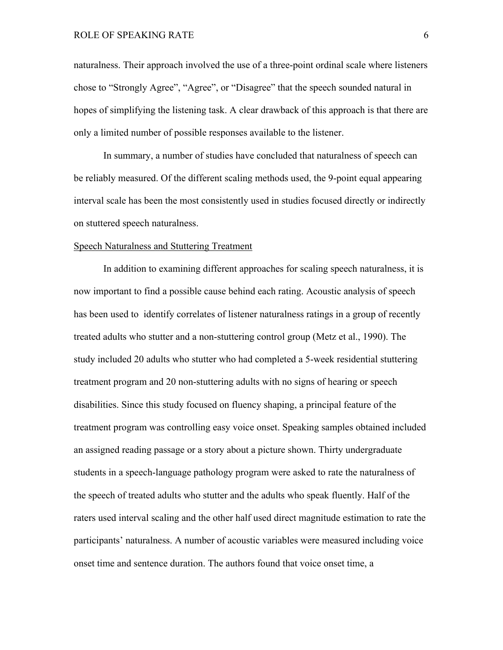## ROLE OF SPEAKING RATE 6

naturalness. Their approach involved the use of a three-point ordinal scale where listeners chose to "Strongly Agree", "Agree", or "Disagree" that the speech sounded natural in hopes of simplifying the listening task. A clear drawback of this approach is that there are only a limited number of possible responses available to the listener.

In summary, a number of studies have concluded that naturalness of speech can be reliably measured. Of the different scaling methods used, the 9-point equal appearing interval scale has been the most consistently used in studies focused directly or indirectly on stuttered speech naturalness.

#### Speech Naturalness and Stuttering Treatment

In addition to examining different approaches for scaling speech naturalness, it is now important to find a possible cause behind each rating. Acoustic analysis of speech has been used to identify correlates of listener naturalness ratings in a group of recently treated adults who stutter and a non-stuttering control group (Metz et al., 1990). The study included 20 adults who stutter who had completed a 5-week residential stuttering treatment program and 20 non-stuttering adults with no signs of hearing or speech disabilities. Since this study focused on fluency shaping, a principal feature of the treatment program was controlling easy voice onset. Speaking samples obtained included an assigned reading passage or a story about a picture shown. Thirty undergraduate students in a speech-language pathology program were asked to rate the naturalness of the speech of treated adults who stutter and the adults who speak fluently. Half of the raters used interval scaling and the other half used direct magnitude estimation to rate the participants' naturalness. A number of acoustic variables were measured including voice onset time and sentence duration. The authors found that voice onset time, a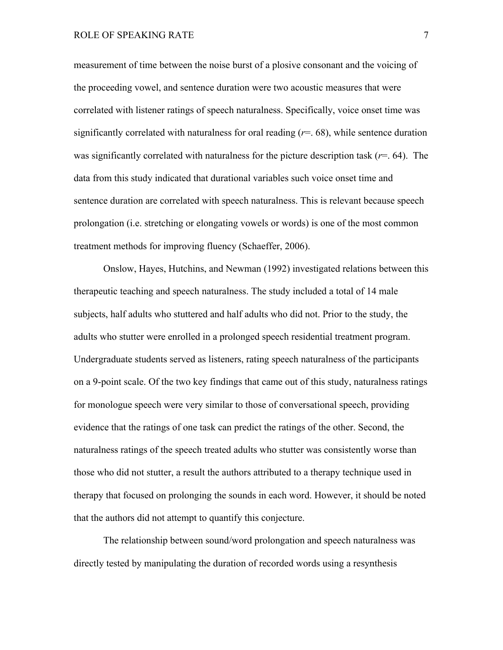measurement of time between the noise burst of a plosive consonant and the voicing of the proceeding vowel, and sentence duration were two acoustic measures that were correlated with listener ratings of speech naturalness. Specifically, voice onset time was significantly correlated with naturalness for oral reading  $(r=0.68)$ , while sentence duration was significantly correlated with naturalness for the picture description task (*r*=. 64). The data from this study indicated that durational variables such voice onset time and sentence duration are correlated with speech naturalness. This is relevant because speech prolongation (i.e. stretching or elongating vowels or words) is one of the most common treatment methods for improving fluency (Schaeffer, 2006).

Onslow, Hayes, Hutchins, and Newman (1992) investigated relations between this therapeutic teaching and speech naturalness. The study included a total of 14 male subjects, half adults who stuttered and half adults who did not. Prior to the study, the adults who stutter were enrolled in a prolonged speech residential treatment program. Undergraduate students served as listeners, rating speech naturalness of the participants on a 9-point scale. Of the two key findings that came out of this study, naturalness ratings for monologue speech were very similar to those of conversational speech, providing evidence that the ratings of one task can predict the ratings of the other. Second, the naturalness ratings of the speech treated adults who stutter was consistently worse than those who did not stutter, a result the authors attributed to a therapy technique used in therapy that focused on prolonging the sounds in each word. However, it should be noted that the authors did not attempt to quantify this conjecture.

The relationship between sound/word prolongation and speech naturalness was directly tested by manipulating the duration of recorded words using a resynthesis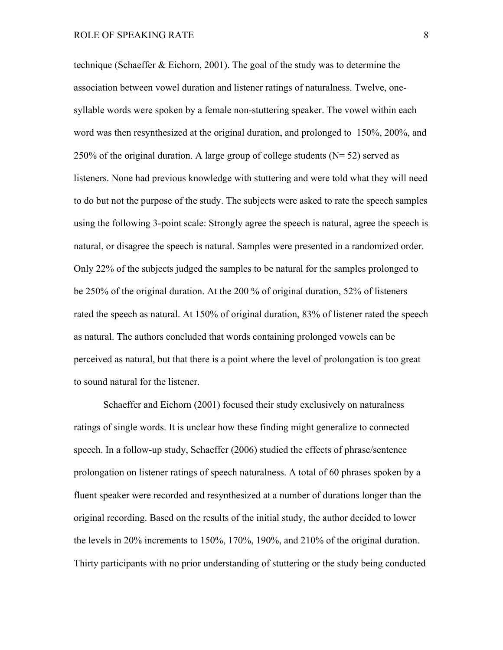technique (Schaeffer & Eichorn, 2001). The goal of the study was to determine the association between vowel duration and listener ratings of naturalness. Twelve, onesyllable words were spoken by a female non-stuttering speaker. The vowel within each word was then resynthesized at the original duration, and prolonged to 150%, 200%, and 250% of the original duration. A large group of college students  $(N= 52)$  served as listeners. None had previous knowledge with stuttering and were told what they will need to do but not the purpose of the study. The subjects were asked to rate the speech samples using the following 3-point scale: Strongly agree the speech is natural, agree the speech is natural, or disagree the speech is natural. Samples were presented in a randomized order. Only 22% of the subjects judged the samples to be natural for the samples prolonged to be 250% of the original duration. At the 200 % of original duration, 52% of listeners rated the speech as natural. At 150% of original duration, 83% of listener rated the speech as natural. The authors concluded that words containing prolonged vowels can be perceived as natural, but that there is a point where the level of prolongation is too great to sound natural for the listener.

Schaeffer and Eichorn (2001) focused their study exclusively on naturalness ratings of single words. It is unclear how these finding might generalize to connected speech. In a follow-up study, Schaeffer (2006) studied the effects of phrase/sentence prolongation on listener ratings of speech naturalness. A total of 60 phrases spoken by a fluent speaker were recorded and resynthesized at a number of durations longer than the original recording. Based on the results of the initial study, the author decided to lower the levels in 20% increments to 150%, 170%, 190%, and 210% of the original duration. Thirty participants with no prior understanding of stuttering or the study being conducted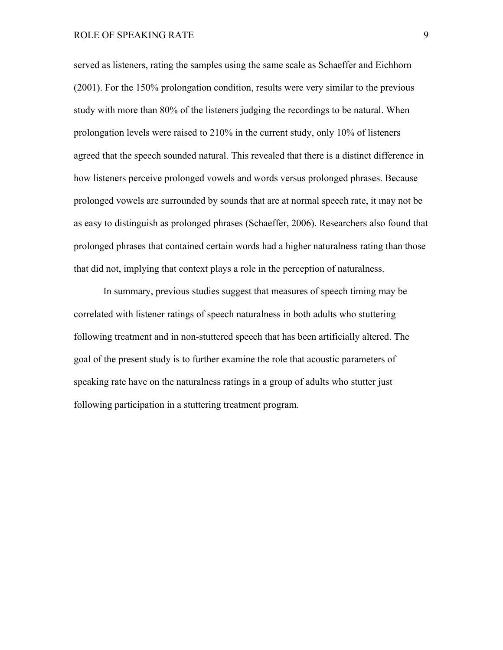served as listeners, rating the samples using the same scale as Schaeffer and Eichhorn (2001). For the 150% prolongation condition, results were very similar to the previous study with more than 80% of the listeners judging the recordings to be natural. When prolongation levels were raised to 210% in the current study, only 10% of listeners agreed that the speech sounded natural. This revealed that there is a distinct difference in how listeners perceive prolonged vowels and words versus prolonged phrases. Because prolonged vowels are surrounded by sounds that are at normal speech rate, it may not be as easy to distinguish as prolonged phrases (Schaeffer, 2006). Researchers also found that prolonged phrases that contained certain words had a higher naturalness rating than those that did not, implying that context plays a role in the perception of naturalness.

In summary, previous studies suggest that measures of speech timing may be correlated with listener ratings of speech naturalness in both adults who stuttering following treatment and in non-stuttered speech that has been artificially altered. The goal of the present study is to further examine the role that acoustic parameters of speaking rate have on the naturalness ratings in a group of adults who stutter just following participation in a stuttering treatment program.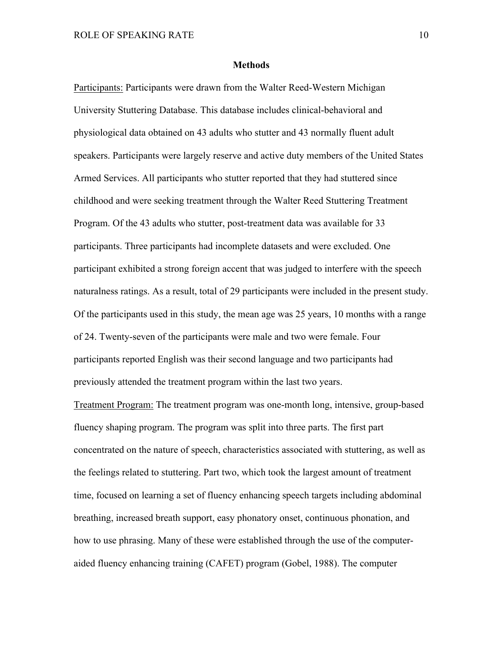#### **Methods**

Participants: Participants were drawn from the Walter Reed-Western Michigan University Stuttering Database. This database includes clinical-behavioral and physiological data obtained on 43 adults who stutter and 43 normally fluent adult speakers. Participants were largely reserve and active duty members of the United States Armed Services. All participants who stutter reported that they had stuttered since childhood and were seeking treatment through the Walter Reed Stuttering Treatment Program. Of the 43 adults who stutter, post-treatment data was available for 33 participants. Three participants had incomplete datasets and were excluded. One participant exhibited a strong foreign accent that was judged to interfere with the speech naturalness ratings. As a result, total of 29 participants were included in the present study. Of the participants used in this study, the mean age was 25 years, 10 months with a range of 24. Twenty-seven of the participants were male and two were female. Four participants reported English was their second language and two participants had previously attended the treatment program within the last two years.

Treatment Program: The treatment program was one-month long, intensive, group-based fluency shaping program. The program was split into three parts. The first part concentrated on the nature of speech, characteristics associated with stuttering, as well as the feelings related to stuttering. Part two, which took the largest amount of treatment time, focused on learning a set of fluency enhancing speech targets including abdominal breathing, increased breath support, easy phonatory onset, continuous phonation, and how to use phrasing. Many of these were established through the use of the computeraided fluency enhancing training (CAFET) program (Gobel, 1988). The computer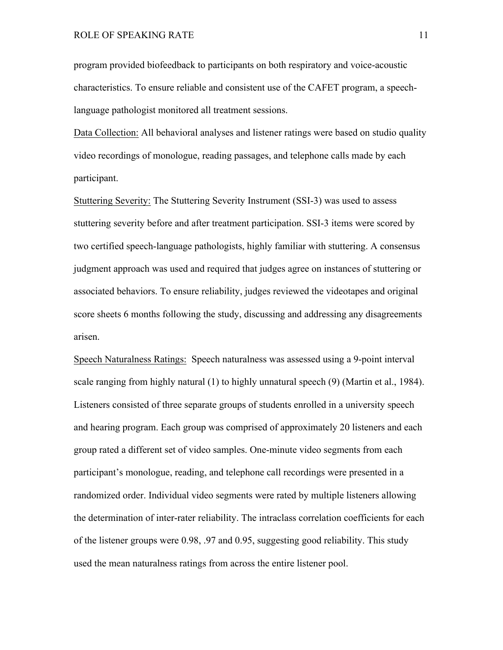program provided biofeedback to participants on both respiratory and voice-acoustic characteristics. To ensure reliable and consistent use of the CAFET program, a speechlanguage pathologist monitored all treatment sessions.

Data Collection: All behavioral analyses and listener ratings were based on studio quality video recordings of monologue, reading passages, and telephone calls made by each participant.

Stuttering Severity: The Stuttering Severity Instrument (SSI-3) was used to assess stuttering severity before and after treatment participation. SSI-3 items were scored by two certified speech-language pathologists, highly familiar with stuttering. A consensus judgment approach was used and required that judges agree on instances of stuttering or associated behaviors. To ensure reliability, judges reviewed the videotapes and original score sheets 6 months following the study, discussing and addressing any disagreements arisen.

Speech Naturalness Ratings: Speech naturalness was assessed using a 9-point interval scale ranging from highly natural (1) to highly unnatural speech (9) (Martin et al., 1984). Listeners consisted of three separate groups of students enrolled in a university speech and hearing program. Each group was comprised of approximately 20 listeners and each group rated a different set of video samples. One-minute video segments from each participant's monologue, reading, and telephone call recordings were presented in a randomized order. Individual video segments were rated by multiple listeners allowing the determination of inter-rater reliability. The intraclass correlation coefficients for each of the listener groups were 0.98, .97 and 0.95, suggesting good reliability. This study used the mean naturalness ratings from across the entire listener pool.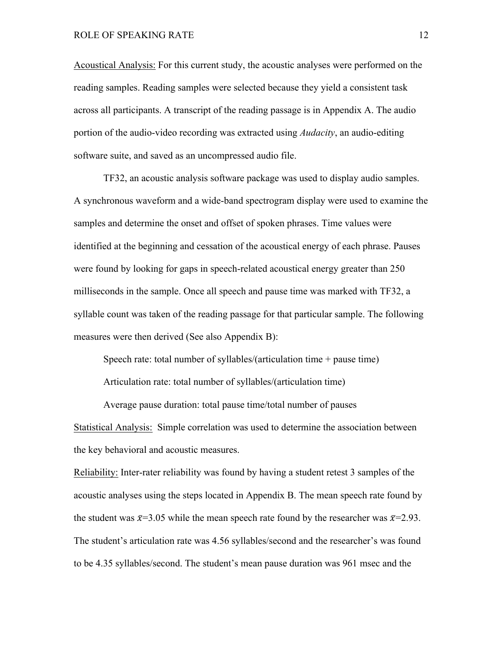Acoustical Analysis: For this current study, the acoustic analyses were performed on the reading samples. Reading samples were selected because they yield a consistent task across all participants. A transcript of the reading passage is in Appendix A. The audio portion of the audio-video recording was extracted using *Audacity*, an audio-editing software suite, and saved as an uncompressed audio file.

TF32, an acoustic analysis software package was used to display audio samples. A synchronous waveform and a wide-band spectrogram display were used to examine the samples and determine the onset and offset of spoken phrases. Time values were identified at the beginning and cessation of the acoustical energy of each phrase. Pauses were found by looking for gaps in speech-related acoustical energy greater than 250 milliseconds in the sample. Once all speech and pause time was marked with TF32, a syllable count was taken of the reading passage for that particular sample. The following measures were then derived (See also Appendix B):

Speech rate: total number of syllables/(articulation time + pause time)

Articulation rate: total number of syllables/(articulation time)

Average pause duration: total pause time/total number of pauses Statistical Analysis: Simple correlation was used to determine the association between the key behavioral and acoustic measures.

Reliability: Inter-rater reliability was found by having a student retest 3 samples of the acoustic analyses using the steps located in Appendix B. The mean speech rate found by the student was  $\bar{x}=3.05$  while the mean speech rate found by the researcher was  $\bar{x}=2.93$ . The student's articulation rate was 4.56 syllables/second and the researcher's was found to be 4.35 syllables/second. The student's mean pause duration was 961 msec and the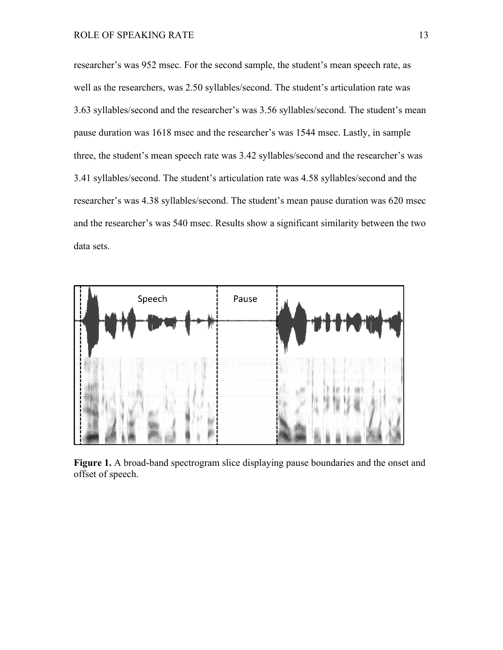researcher's was 952 msec. For the second sample, the student's mean speech rate, as well as the researchers, was 2.50 syllables/second. The student's articulation rate was 3.63 syllables/second and the researcher's was 3.56 syllables/second. The student's mean pause duration was 1618 msec and the researcher's was 1544 msec. Lastly, in sample three, the student's mean speech rate was 3.42 syllables/second and the researcher's was 3.41 syllables/second. The student's articulation rate was 4.58 syllables/second and the researcher's was 4.38 syllables/second. The student's mean pause duration was 620 msec and the researcher's was 540 msec. Results show a significant similarity between the two data sets.



**Figure 1.** A broad-band spectrogram slice displaying pause boundaries and the onset and offset of speech.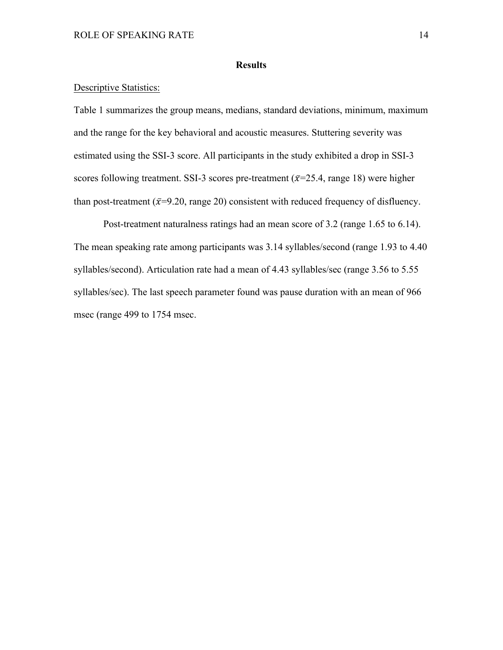# **Results**

## Descriptive Statistics:

Table 1 summarizes the group means, medians, standard deviations, minimum, maximum and the range for the key behavioral and acoustic measures. Stuttering severity was estimated using the SSI-3 score. All participants in the study exhibited a drop in SSI-3 scores following treatment. SSI-3 scores pre-treatment ( $\bar{x}$ =25.4, range 18) were higher than post-treatment ( $\bar{x}=9.20$ , range 20) consistent with reduced frequency of disfluency.

Post-treatment naturalness ratings had an mean score of 3.2 (range 1.65 to 6.14). The mean speaking rate among participants was 3.14 syllables/second (range 1.93 to 4.40 syllables/second). Articulation rate had a mean of 4.43 syllables/sec (range 3.56 to 5.55 syllables/sec). The last speech parameter found was pause duration with an mean of 966 msec (range 499 to 1754 msec.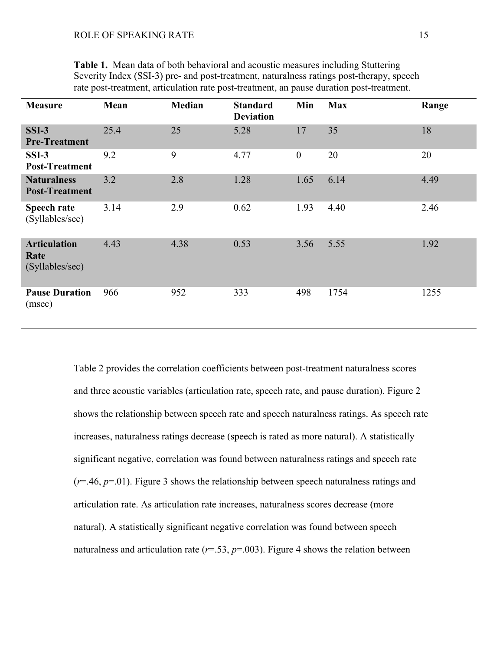| <b>Measure</b>                                 | Mean | <b>Median</b> | <b>Standard</b><br><b>Deviation</b> | Min          | <b>Max</b> | Range |
|------------------------------------------------|------|---------------|-------------------------------------|--------------|------------|-------|
| $SSI-3$<br><b>Pre-Treatment</b>                | 25.4 | 25            | 5.28                                | 17           | 35         | 18    |
| $SSI-3$<br><b>Post-Treatment</b>               | 9.2  | 9             | 4.77                                | $\mathbf{0}$ | 20         | 20    |
| <b>Naturalness</b><br><b>Post-Treatment</b>    | 3.2  | 2.8           | 1.28                                | 1.65         | 6.14       | 4.49  |
| Speech rate<br>(Syllables/sec)                 | 3.14 | 2.9           | 0.62                                | 1.93         | 4.40       | 2.46  |
| <b>Articulation</b><br>Rate<br>(Syllables/sec) | 4.43 | 4.38          | 0.53                                | 3.56         | 5.55       | 1.92  |
| <b>Pause Duration</b><br>(msec)                | 966  | 952           | 333                                 | 498          | 1754       | 1255  |

**Table 1.** Mean data of both behavioral and acoustic measures including Stuttering Severity Index (SSI-3) pre- and post-treatment, naturalness ratings post-therapy, speech rate post-treatment, articulation rate post-treatment, an pause duration post-treatment.

Table 2 provides the correlation coefficients between post-treatment naturalness scores and three acoustic variables (articulation rate, speech rate, and pause duration). Figure 2 shows the relationship between speech rate and speech naturalness ratings. As speech rate increases, naturalness ratings decrease (speech is rated as more natural). A statistically significant negative, correlation was found between naturalness ratings and speech rate (*r*=.46, *p*=.01). Figure 3 shows the relationship between speech naturalness ratings and articulation rate. As articulation rate increases, naturalness scores decrease (more natural). A statistically significant negative correlation was found between speech naturalness and articulation rate ( $r=53$ ,  $p=.003$ ). Figure 4 shows the relation between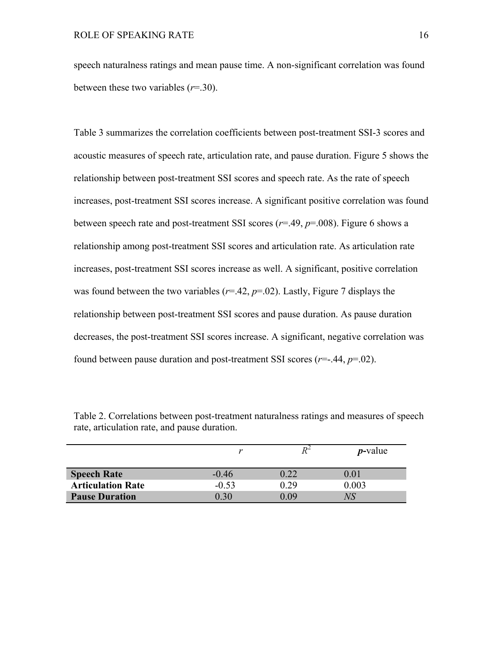speech naturalness ratings and mean pause time. A non-significant correlation was found between these two variables (*r*=.30).

Table 3 summarizes the correlation coefficients between post-treatment SSI-3 scores and acoustic measures of speech rate, articulation rate, and pause duration. Figure 5 shows the relationship between post-treatment SSI scores and speech rate. As the rate of speech increases, post-treatment SSI scores increase. A significant positive correlation was found between speech rate and post-treatment SSI scores (*r*=.49, *p*=.008). Figure 6 shows a relationship among post-treatment SSI scores and articulation rate. As articulation rate increases, post-treatment SSI scores increase as well. A significant, positive correlation was found between the two variables  $(r=.42, p=.02)$ . Lastly, Figure 7 displays the relationship between post-treatment SSI scores and pause duration. As pause duration decreases, the post-treatment SSI scores increase. A significant, negative correlation was found between pause duration and post-treatment SSI scores  $(r=.44, p=.02)$ .

|                          |         |      | $p$ -value |
|--------------------------|---------|------|------------|
| <b>Speech Rate</b>       | $-0.46$ | 0.22 | 0.01       |
| <b>Articulation Rate</b> | $-0.53$ | 0.29 | 0.003      |
| <b>Pause Duration</b>    | 0.30    | 0.09 | NS         |

Table 2. Correlations between post-treatment naturalness ratings and measures of speech rate, articulation rate, and pause duration.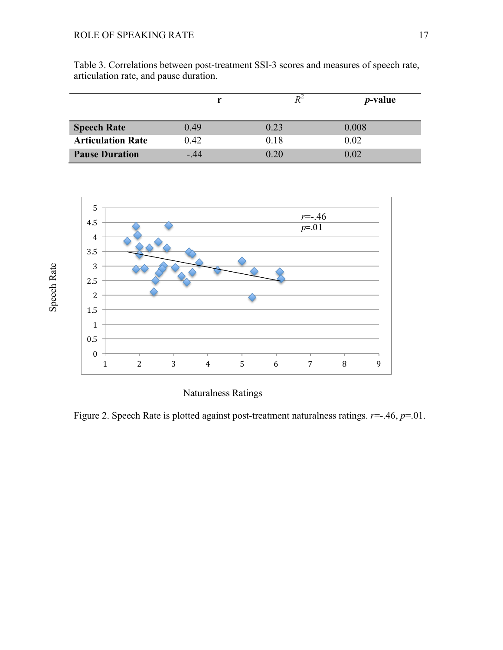|                          |       |      | <i>p</i> -value |
|--------------------------|-------|------|-----------------|
| <b>Speech Rate</b>       | 0.49  | 0.23 | 0.008           |
| <b>Articulation Rate</b> | 0.42  | 0.18 | 0.02            |
| <b>Pause Duration</b>    | $-44$ | 0.20 | 0.02            |





Naturalness Ratings

Figure 2. Speech Rate is plotted against post-treatment naturalness ratings. *r*=-.46, *p*=.01.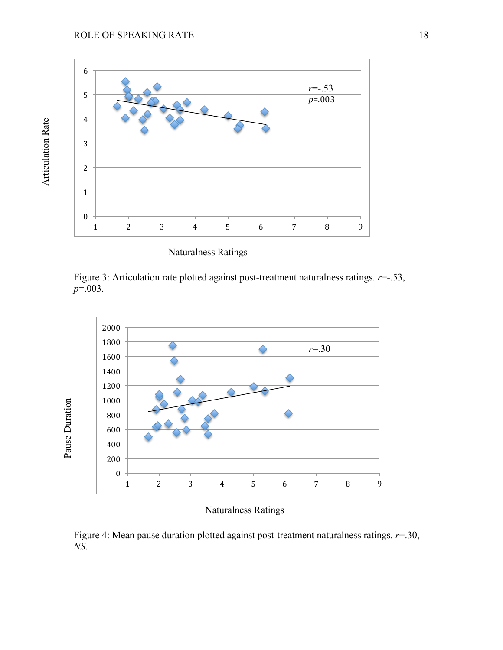Articulation Rate Articulation Rate



Naturalness Ratings

Figure 3: Articulation rate plotted against post-treatment naturalness ratings. *r*=-.53, *p*=.003.



# Naturalness Ratings

Figure 4: Mean pause duration plotted against post-treatment naturalness ratings. *r*=.30, *NS*.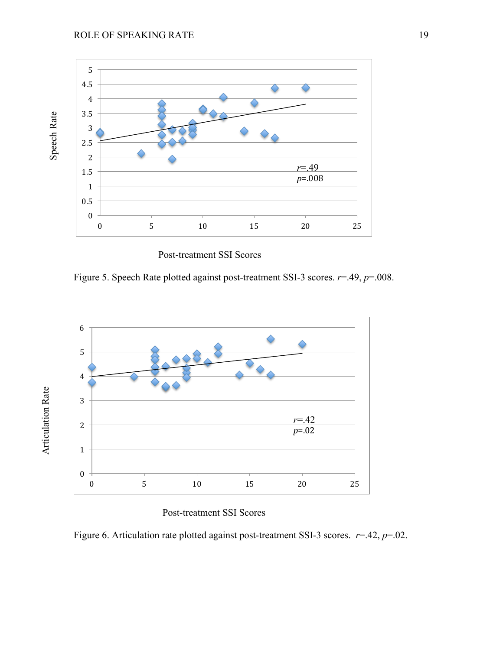

Post-treatment SSI Scores

Figure 5. Speech Rate plotted against post-treatment SSI-3 scores. *r*=.49, *p*=.008.



Post-treatment SSI Scores

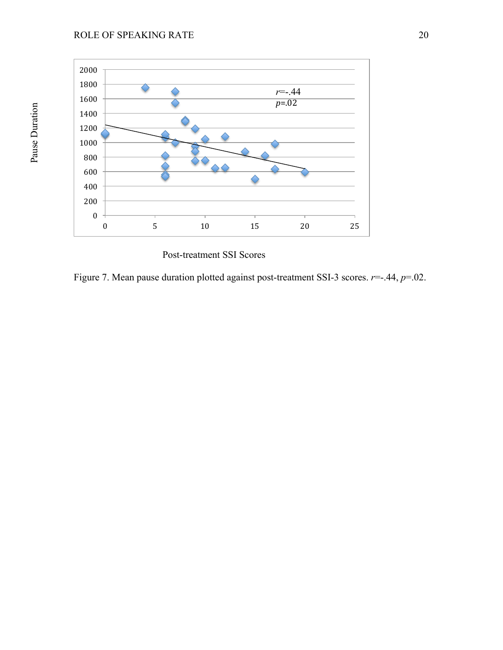

Post-treatment SSI Scores

Figure 7. Mean pause duration plotted against post-treatment SSI-3 scores. *r*=-.44, *p*=.02.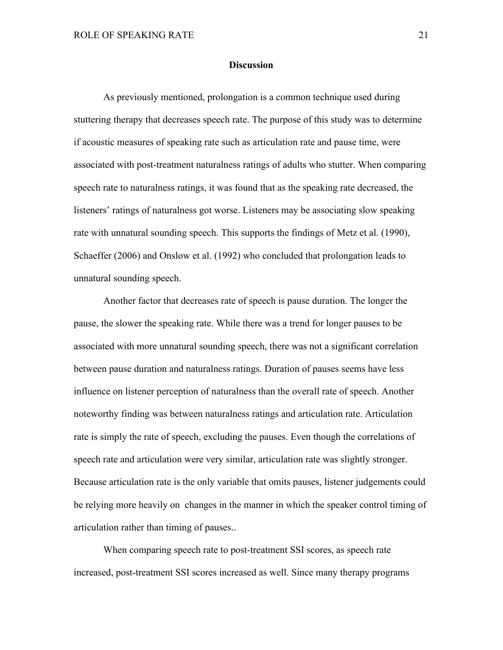### **Discussion**

As previously mentioned, prolongation is a common technique used during stuttering therapy that decreases speech rate. The purpose of this study was to determine if acoustic measures of speaking rate such as articulation rate and pause time, were associated with post-treatment naturalness ratings of adults who stutter. When comparing speech rate to naturalness ratings, it was found that as the speaking rate decreased, the listeners' ratings of naturalness got worse. Listeners may be associating slow speaking rate with unnatural sounding speech. This supports the findings of Metz et al. (1990), Schaeffer (2006) and Onslow et al. (1992) who concluded that prolongation leads to unnatural sounding speech.

Another factor that decreases rate of speech is pause duration. The longer the pause, the slower the speaking rate. While there was a trend for longer pauses to be associated with more unnatural sounding speech, there was not a significant correlation between pause duration and naturalness ratings. Duration of pauses seems have less influence on listener perception of naturalness than the overall rate of speech. Another noteworthy finding was between naturalness ratings and articulation rate. Articulation rate is simply the rate of speech, excluding the pauses. Even though the correlations of speech rate and articulation were very similar, articulation rate was slightly stronger. Because articulation rate is the only variable that omits pauses, listener judgements could be relying more heavily on changes in the manner in which the speaker control timing of articulation rather than timing of pauses..

When comparing speech rate to post-treatment SSI scores, as speech rate increased, post-treatment SSI scores increased as well. Since many therapy programs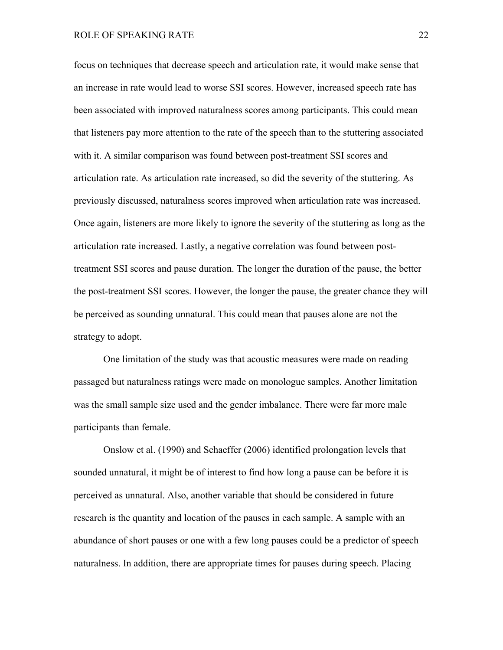focus on techniques that decrease speech and articulation rate, it would make sense that an increase in rate would lead to worse SSI scores. However, increased speech rate has been associated with improved naturalness scores among participants. This could mean that listeners pay more attention to the rate of the speech than to the stuttering associated with it. A similar comparison was found between post-treatment SSI scores and articulation rate. As articulation rate increased, so did the severity of the stuttering. As previously discussed, naturalness scores improved when articulation rate was increased. Once again, listeners are more likely to ignore the severity of the stuttering as long as the articulation rate increased. Lastly, a negative correlation was found between posttreatment SSI scores and pause duration. The longer the duration of the pause, the better the post-treatment SSI scores. However, the longer the pause, the greater chance they will be perceived as sounding unnatural. This could mean that pauses alone are not the strategy to adopt.

One limitation of the study was that acoustic measures were made on reading passaged but naturalness ratings were made on monologue samples. Another limitation was the small sample size used and the gender imbalance. There were far more male participants than female.

Onslow et al. (1990) and Schaeffer (2006) identified prolongation levels that sounded unnatural, it might be of interest to find how long a pause can be before it is perceived as unnatural. Also, another variable that should be considered in future research is the quantity and location of the pauses in each sample. A sample with an abundance of short pauses or one with a few long pauses could be a predictor of speech naturalness. In addition, there are appropriate times for pauses during speech. Placing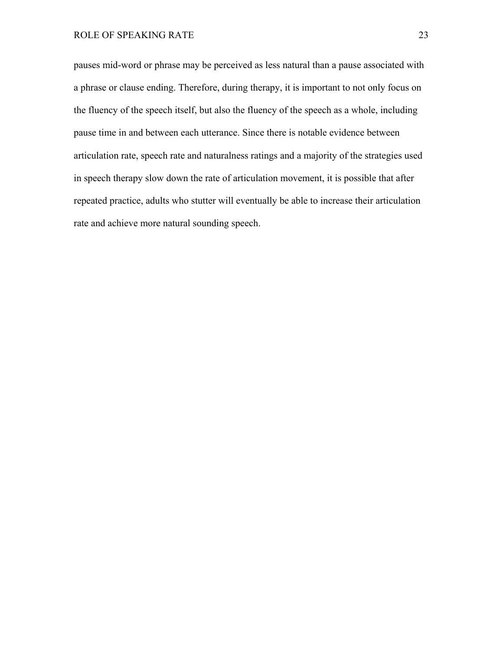pauses mid-word or phrase may be perceived as less natural than a pause associated with a phrase or clause ending. Therefore, during therapy, it is important to not only focus on the fluency of the speech itself, but also the fluency of the speech as a whole, including pause time in and between each utterance. Since there is notable evidence between articulation rate, speech rate and naturalness ratings and a majority of the strategies used in speech therapy slow down the rate of articulation movement, it is possible that after repeated practice, adults who stutter will eventually be able to increase their articulation rate and achieve more natural sounding speech.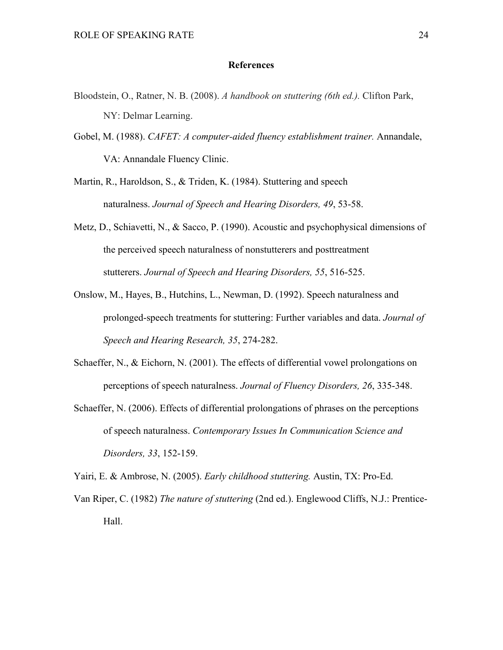## **References**

- Bloodstein, O., Ratner, N. B. (2008). *A handbook on stuttering (6th ed.).* Clifton Park, NY: Delmar Learning.
- Gobel, M. (1988). *CAFET: A computer-aided fluency establishment trainer.* Annandale, VA: Annandale Fluency Clinic.
- Martin, R., Haroldson, S., & Triden, K. (1984). Stuttering and speech naturalness. *Journal of Speech and Hearing Disorders, 49*, 53-58.
- Metz, D., Schiavetti, N., & Sacco, P. (1990). Acoustic and psychophysical dimensions of the perceived speech naturalness of nonstutterers and posttreatment stutterers. *Journal of Speech and Hearing Disorders, 55*, 516-525.
- Onslow, M., Hayes, B., Hutchins, L., Newman, D. (1992). Speech naturalness and prolonged-speech treatments for stuttering: Further variables and data. *Journal of Speech and Hearing Research, 35*, 274-282.
- Schaeffer, N., & Eichorn, N. (2001). The effects of differential vowel prolongations on perceptions of speech naturalness. *Journal of Fluency Disorders, 26*, 335-348.
- Schaeffer, N. (2006). Effects of differential prolongations of phrases on the perceptions of speech naturalness. *Contemporary Issues In Communication Science and Disorders, 33*, 152-159.

Yairi, E. & Ambrose, N. (2005). *Early childhood stuttering.* Austin, TX: Pro-Ed.

Van Riper, C. (1982) *The nature of stuttering* (2nd ed.). Englewood Cliffs, N.J.: Prentice-Hall.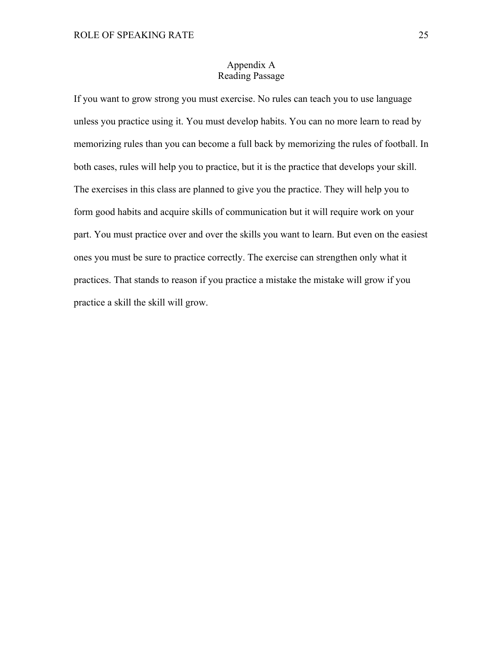# Appendix A Reading Passage

If you want to grow strong you must exercise. No rules can teach you to use language unless you practice using it. You must develop habits. You can no more learn to read by memorizing rules than you can become a full back by memorizing the rules of football. In both cases, rules will help you to practice, but it is the practice that develops your skill. The exercises in this class are planned to give you the practice. They will help you to form good habits and acquire skills of communication but it will require work on your part. You must practice over and over the skills you want to learn. But even on the easiest ones you must be sure to practice correctly. The exercise can strengthen only what it practices. That stands to reason if you practice a mistake the mistake will grow if you practice a skill the skill will grow.